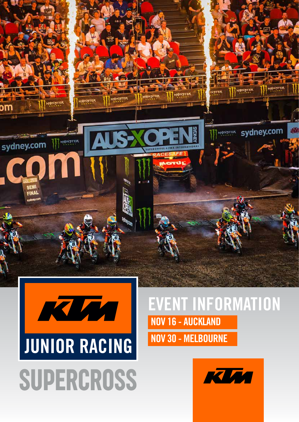

**IQUALE** 

**IDNSTER** 

sydney.com

sem FINA

### EVENT INFORMATION NOV 16 - AUCKLAND NOV 30 - MELBOURNE



sydney.com

MONSTER

أثأله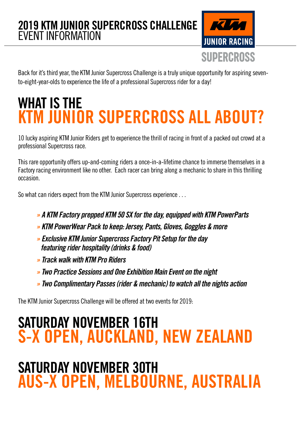

Back for it's third year, the KTM Junior Supercross Challenge is a truly unique opportunity for aspiring sevento-eight-year-olds to experience the life of a professional Supercross rider for a day!

### WHAT IS THE KTM JUNIOR SUPERCROSS ALL ABOUT?

10 lucky aspiring KTM Junior Riders get to experience the thrill of racing in front of a packed out crowd at a professional Supercross race.

This rare opportunity offers up-and-coming riders a once-in-a-lifetime chance to immerse themselves in a Factory racing environment like no other. Each racer can bring along a mechanic to share in this thrilling occasion.

So what can riders expect from the KTM Junior Supercross experience . . .

- *» A KTM Factory prepped KTM 50 SX for the day, equipped with KTM PowerParts*
- *» KTM PowerWear Pack to keep: Jersey, Pants, Gloves, Goggles & more*
- *» Exclusive KTM Junior Supercross Factory Pit Setup for the day featuring rider hospitality (drinks & food)*
- *» Track walk with KTM Pro Riders*
- *» Two Practice Sessions and One Exhibition Main Event on the night*
- *» Two Complimentary Passes (rider & mechanic) to watch all the nights action*

The KTM Junior Supercross Challenge will be offered at two events for 2019:

### SATURDAY NOVEMBER 16TH S-X OPEN, AUCKLAND, NEW ZEALAND

### SATURDAY NOVEMBER 30TH AUS-X OPEN, MELBOURNE, AUSTRALIA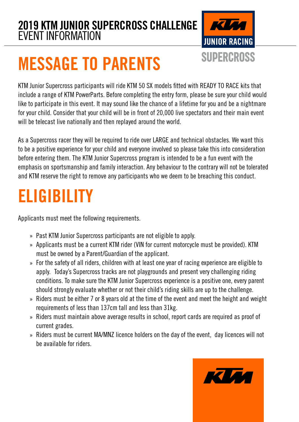

# MESSAGE TO PARENTS

KTM Junior Supercross participants will ride KTM 50 SX models fitted with READY TO RACE kits that include a range of KTM PowerParts. Before completing the entry form, please be sure your child would like to participate in this event. It may sound like the chance of a lifetime for you and be a nightmare for your child. Consider that your child will be in front of 20,000 live spectators and their main event will be telecast live nationally and then replayed around the world.

As a Supercross racer they will be required to ride over LARGE and technical obstacles. We want this to be a positive experience for your child and everyone involved so please take this into consideration before entering them. The KTM Junior Supercross program is intended to be a fun event with the emphasis on sportsmanship and family interaction. Any behaviour to the contrary will not be tolerated and KTM reserve the right to remove any participants who we deem to be breaching this conduct.

## ELIGIBILITY

Applicants must meet the following requirements.

- » Past KTM Junior Supercross participants are not eligible to apply.
- » Applicants must be a current KTM rider (VIN for current motorcycle must be provided). KTM must be owned by a Parent/Guardian of the applicant.
- For the safety of all riders, children with at least one year of racing experience are eligible to » apply. Today's Supercross tracks are not playgrounds and present very challenging riding conditions. To make sure the KTM Junior Supercross experience is a positive one, every parent should strongly evaluate whether or not their child's riding skills are up to the challenge.
- » Riders must be either 7 or 8 years old at the time of the event and meet the height and weight requirements of less than 137cm tall and less than 31kg.
- » Riders must maintain above average results in school, report cards are required as proof of current grades.
- » Riders must be current MA/MNZ licence holders on the day of the event, day licences will not be available for riders.

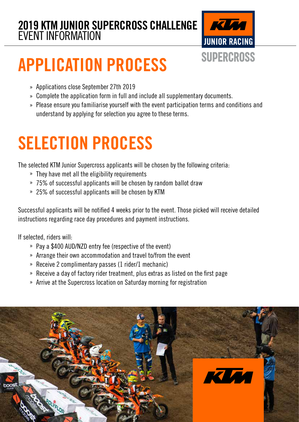

# APPLICATION PROCESS

- » Applications close September 27th 2019
- Complete the application form in full and include all supplementary documents. »
- » Please ensure you familiarise yourself with the event participation terms and conditions and understand by applying for selection you agree to these terms.

# SELECTION PROCESS

The selected KTM Junior Supercross applicants will be chosen by the following criteria:

- They have met all the eligibility requirements »
- 75% of successful applicants will be chosen by random ballot draw »
- » 25% of successful applicants will be chosen by KTM

Successful applicants will be notified 4 weeks prior to the event. Those picked will receive detailed instructions regarding race day procedures and payment instructions.

If selected, riders will:

- » Pay a \$400 AUD/NZD entry fee (respective of the event)
- » Arrange their own accommodation and travel to/from the event
- » Receive 2 complimentary passes (1 rider/1 mechanic)
- » Receive a day of factory rider treatment, plus extras as listed on the first page
- » Arrive at the Supercross location on Saturday morning for registration

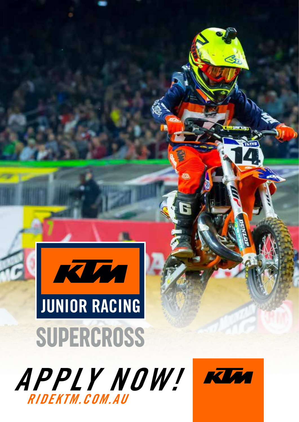

# RIDEKTM.COM.AU APPLY NOW!

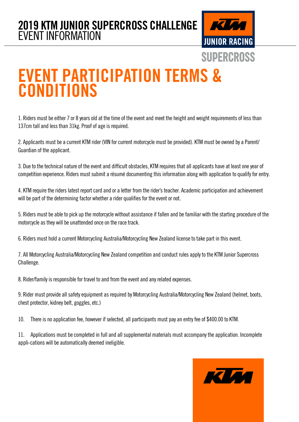

### EVENT PARTICIPATION TERMS & **CONDITIONS**

1. Riders must be either 7 or 8 years old at the time of the event and meet the height and weight requirements of less than 137cm tall and less than 31kg. Proof of age is required.

2. Applicants must be a current KTM rider (VIN for current motorcycle must be provided). KTM must be owned by a Parent/ Guardian of the applicant.

3. Due to the technical nature of the event and difficult obstacles, KTM requires that all applicants have at least one year of competition experience. Riders must submit a résumé documenting this information along with application to qualify for entry.

4. KTM require the riders latest report card and or a letter from the rider's teacher. Academic participation and achievement will be part of the determining factor whether a rider qualifies for the event or not.

5. Riders must be able to pick up the motorcycle without assistance if fallen and be familiar with the starting procedure of the motorcycle as they will be unattended once on the race track.

6. Riders must hold a current Motorcycling Australia/Motorcycling New Zealand license to take part in this event.

7. All Motorcycling Australia/Motorcycling New Zealand competition and conduct rules apply to the KTM Junior Supercross Challenge.

8. Rider/family is responsible for travel to and from the event and any related expenses.

9. Rider must provide all safety equipment as required by Motorcycling Australia/Motorcycling New Zealand (helmet, boots, chest protector, kidney belt, goggles, etc.)

10. There is no application fee, however if selected, all participants must pay an entry fee of \$400.00 to KTM.

11. Applications must be completed in full and all supplemental materials must accompany the application. Incomplete appli-cations will be automatically deemed ineligible.